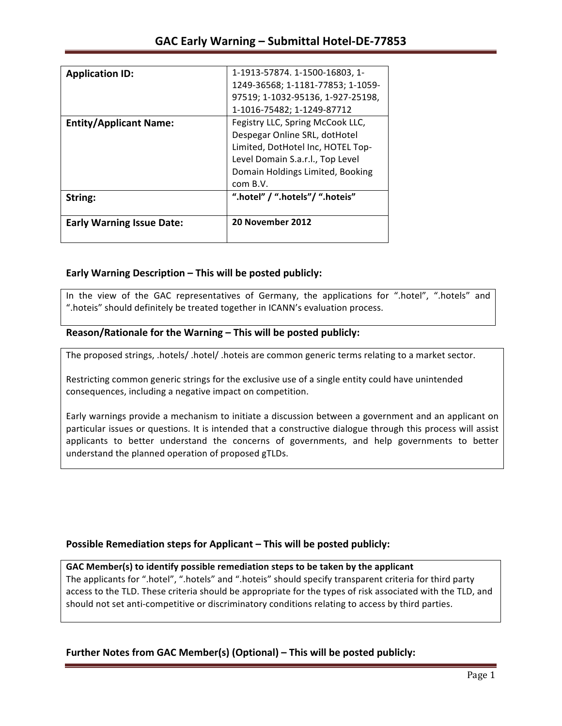| String:                       | ".hotel" / ".hotels"/ ".hoteis"   |
|-------------------------------|-----------------------------------|
|                               | com B.V.                          |
|                               | Domain Holdings Limited, Booking  |
|                               | Level Domain S.a.r.l., Top Level  |
|                               | Limited, DotHotel Inc, HOTEL Top- |
|                               | Despegar Online SRL, dotHotel     |
| <b>Entity/Applicant Name:</b> | Fegistry LLC, Spring McCook LLC,  |
|                               | 1-1016-75482; 1-1249-87712        |
|                               | 97519; 1-1032-95136, 1-927-25198, |
|                               | 1249-36568; 1-1181-77853; 1-1059- |
| <b>Application ID:</b>        | 1-1913-57874. 1-1500-16803, 1-    |

## **Early Warning Description – This will be posted publicly:**

In the view of the GAC representatives of Germany, the applications for ".hotel", ".hotels" and ".hoteis" should definitely be treated together in ICANN's evaluation process.

## Reason/Rationale for the Warning – This will be posted publicly:

The proposed strings, .hotels/ .hotel/ .hoteis are common generic terms relating to a market sector.

Restricting common generic strings for the exclusive use of a single entity could have unintended consequences, including a negative impact on competition.

Early warnings provide a mechanism to initiate a discussion between a government and an applicant on particular issues or questions. It is intended that a constructive dialogue through this process will assist applicants to better understand the concerns of governments, and help governments to better understand the planned operation of proposed gTLDs.

## **Possible Remediation steps for Applicant – This will be posted publicly:**

### GAC Member(s) to identify possible remediation steps to be taken by the applicant

The applicants for ".hotel", ".hotels" and ".hoteis" should specify transparent criteria for third party access to the TLD. These criteria should be appropriate for the types of risk associated with the TLD, and should not set anti-competitive or discriminatory conditions relating to access by third parties.

## **Further Notes from GAC Member(s) (Optional)** – This will be posted publicly: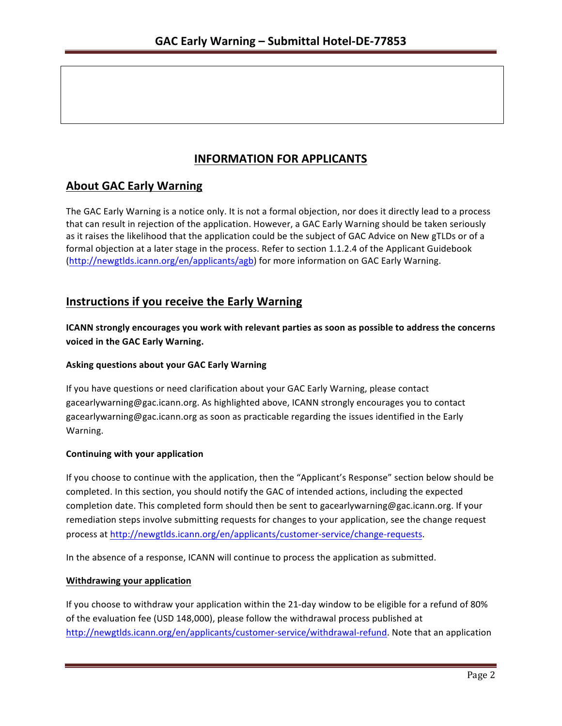# **INFORMATION FOR APPLICANTS**

# **About GAC Early Warning**

The GAC Early Warning is a notice only. It is not a formal objection, nor does it directly lead to a process that can result in rejection of the application. However, a GAC Early Warning should be taken seriously as it raises the likelihood that the application could be the subject of GAC Advice on New gTLDs or of a formal objection at a later stage in the process. Refer to section 1.1.2.4 of the Applicant Guidebook (http://newgtlds.icann.org/en/applicants/agb) for more information on GAC Early Warning.

## **Instructions if you receive the Early Warning**

**ICANN** strongly encourages you work with relevant parties as soon as possible to address the concerns **voiced in the GAC Early Warning.** 

### **Asking questions about your GAC Early Warning**

If you have questions or need clarification about your GAC Early Warning, please contact gacearlywarning@gac.icann.org. As highlighted above, ICANN strongly encourages you to contact gacearlywarning@gac.icann.org as soon as practicable regarding the issues identified in the Early Warning. 

### **Continuing with your application**

If you choose to continue with the application, then the "Applicant's Response" section below should be completed. In this section, you should notify the GAC of intended actions, including the expected completion date. This completed form should then be sent to gacearlywarning@gac.icann.org. If your remediation steps involve submitting requests for changes to your application, see the change request process at http://newgtlds.icann.org/en/applicants/customer-service/change-requests.

In the absence of a response, ICANN will continue to process the application as submitted.

### **Withdrawing your application**

If you choose to withdraw your application within the 21-day window to be eligible for a refund of 80% of the evaluation fee (USD 148,000), please follow the withdrawal process published at http://newgtlds.icann.org/en/applicants/customer-service/withdrawal-refund. Note that an application